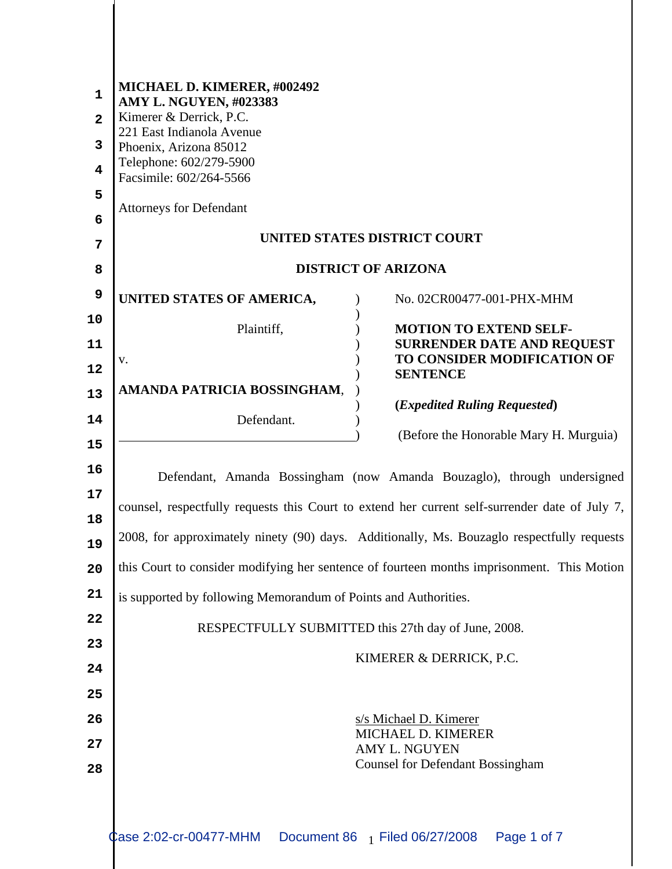| $\mathbf{1}$<br>$\overline{2}$<br>3<br>4<br>5<br>6<br>7 | MICHAEL D. KIMERER, #002492<br>AMY L. NGUYEN, #023383<br>Kimerer & Derrick, P.C.<br>221 East Indianola Avenue<br>Phoenix, Arizona 85012<br>Telephone: 602/279-5900<br>Facsimile: 602/264-5566<br><b>Attorneys for Defendant</b><br>UNITED STATES DISTRICT COURT |
|---------------------------------------------------------|-----------------------------------------------------------------------------------------------------------------------------------------------------------------------------------------------------------------------------------------------------------------|
| 8                                                       | <b>DISTRICT OF ARIZONA</b>                                                                                                                                                                                                                                      |
| 9                                                       | UNITED STATES OF AMERICA,<br>No. 02CR00477-001-PHX-MHM                                                                                                                                                                                                          |
| 10                                                      | Plaintiff,<br><b>MOTION TO EXTEND SELF-</b>                                                                                                                                                                                                                     |
| 11                                                      | <b>SURRENDER DATE AND REQUEST</b><br>TO CONSIDER MODIFICATION OF<br>V.                                                                                                                                                                                          |
| 12                                                      | <b>SENTENCE</b><br>AMANDA PATRICIA BOSSINGHAM,                                                                                                                                                                                                                  |
| 13<br>14                                                | ( <i>Expedited Ruling Requested</i> )<br>Defendant.                                                                                                                                                                                                             |
| 15                                                      | (Before the Honorable Mary H. Murguia)                                                                                                                                                                                                                          |
| 16                                                      |                                                                                                                                                                                                                                                                 |
| 17                                                      | Defendant, Amanda Bossingham (now Amanda Bouzaglo), through undersigned                                                                                                                                                                                         |
| 18                                                      | counsel, respectfully requests this Court to extend her current self-surrender date of July 7,                                                                                                                                                                  |
| 19                                                      | 2008, for approximately ninety (90) days. Additionally, Ms. Bouzaglo respectfully requests                                                                                                                                                                      |
| 20                                                      | this Court to consider modifying her sentence of fourteen months imprisonment. This Motion                                                                                                                                                                      |
| 21                                                      | is supported by following Memorandum of Points and Authorities.                                                                                                                                                                                                 |
| 22                                                      | RESPECTFULLY SUBMITTED this 27th day of June, 2008.                                                                                                                                                                                                             |
| 23                                                      | KIMERER & DERRICK, P.C.                                                                                                                                                                                                                                         |
| 24                                                      |                                                                                                                                                                                                                                                                 |
| 25<br>26                                                | s/s Michael D. Kimerer                                                                                                                                                                                                                                          |
| 27                                                      | MICHAEL D. KIMERER                                                                                                                                                                                                                                              |
| 28                                                      | <b>AMY L. NGUYEN</b><br><b>Counsel for Defendant Bossingham</b>                                                                                                                                                                                                 |
|                                                         | Case 2:02-cr-00477-MHM<br>Document 86 1 Filed 06/27/2008<br>Page 1 of 7                                                                                                                                                                                         |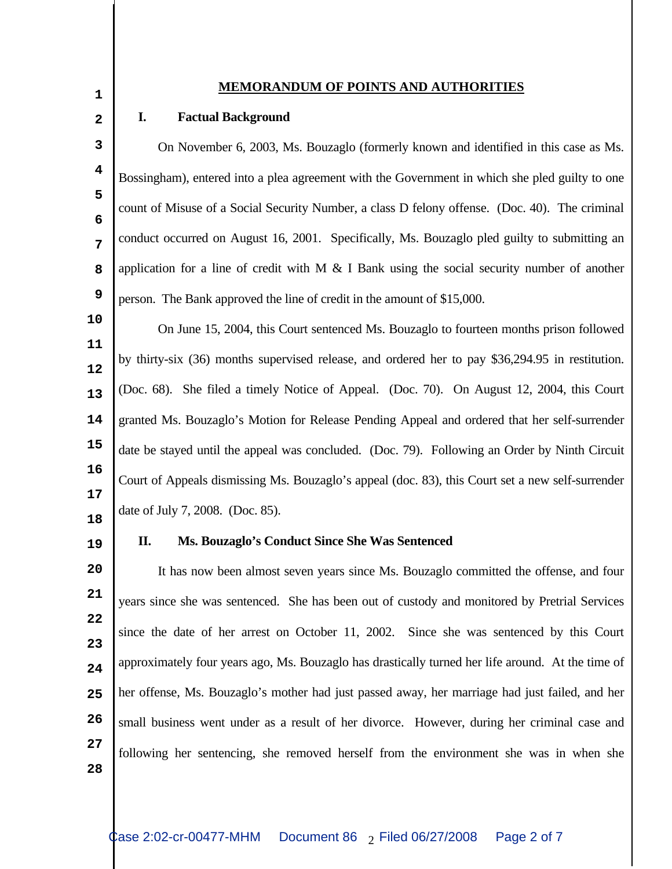### **MEMORANDUM OF POINTS AND AUTHORITIES <sup>1</sup>**

# **2**

#### **I. Factual Background**

**3 4 5 6 7 8 9** On November 6, 2003, Ms. Bouzaglo (formerly known and identified in this case as Ms. Bossingham), entered into a plea agreement with the Government in which she pled guilty to one count of Misuse of a Social Security Number, a class D felony offense. (Doc. 40). The criminal conduct occurred on August 16, 2001. Specifically, Ms. Bouzaglo pled guilty to submitting an application for a line of credit with M  $\&$  I Bank using the social security number of another person. The Bank approved the line of credit in the amount of \$15,000.

**11 12 13 14 15 16 17** On June 15, 2004, this Court sentenced Ms. Bouzaglo to fourteen months prison followed by thirty-six (36) months supervised release, and ordered her to pay \$36,294.95 in restitution. (Doc. 68). She filed a timely Notice of Appeal. (Doc. 70). On August 12, 2004, this Court granted Ms. Bouzaglo's Motion for Release Pending Appeal and ordered that her self-surrender date be stayed until the appeal was concluded. (Doc. 79). Following an Order by Ninth Circuit Court of Appeals dismissing Ms. Bouzaglo's appeal (doc. 83), this Court set a new self-surrender date of July 7, 2008. (Doc. 85).

**18 19**

**10**

#### **II. Ms. Bouzaglo's Conduct Since She Was Sentenced**

**20 21 22 23 24 25 26 27** It has now been almost seven years since Ms. Bouzaglo committed the offense, and four years since she was sentenced. She has been out of custody and monitored by Pretrial Services since the date of her arrest on October 11, 2002. Since she was sentenced by this Court approximately four years ago, Ms. Bouzaglo has drastically turned her life around. At the time of her offense, Ms. Bouzaglo's mother had just passed away, her marriage had just failed, and her small business went under as a result of her divorce. However, during her criminal case and following her sentencing, she removed herself from the environment she was in when she

**28**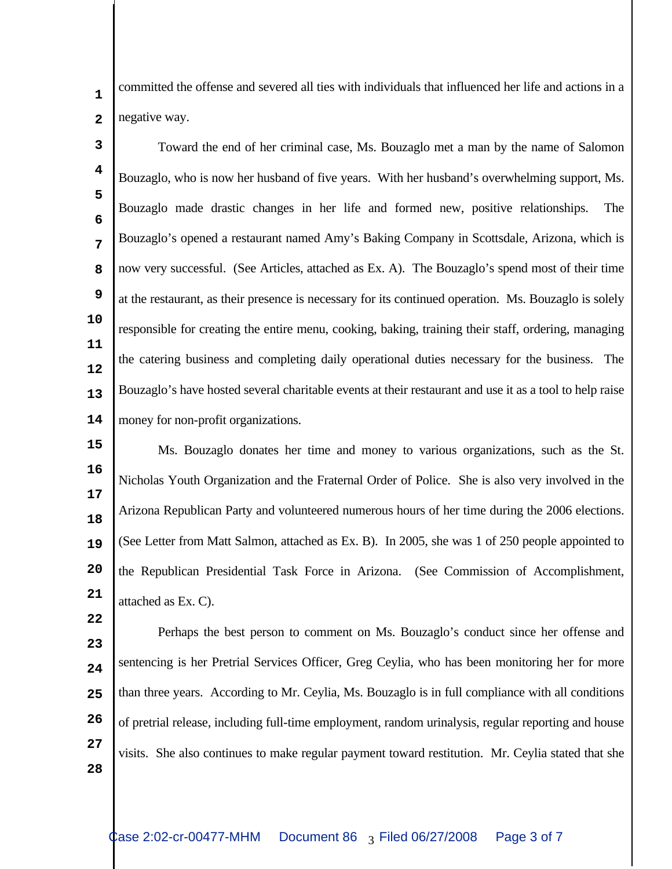**1**

**2**

**22**

committed the offense and severed all ties with individuals that influenced her life and actions in a negative way.

**3 4 5 6 7 8 9 10 11 12 13 14** Toward the end of her criminal case, Ms. Bouzaglo met a man by the name of Salomon Bouzaglo, who is now her husband of five years. With her husband's overwhelming support, Ms. Bouzaglo made drastic changes in her life and formed new, positive relationships. The Bouzaglo's opened a restaurant named Amy's Baking Company in Scottsdale, Arizona, which is now very successful. (See Articles, attached as Ex. A). The Bouzaglo's spend most of their time at the restaurant, as their presence is necessary for its continued operation. Ms. Bouzaglo is solely responsible for creating the entire menu, cooking, baking, training their staff, ordering, managing the catering business and completing daily operational duties necessary for the business. The Bouzaglo's have hosted several charitable events at their restaurant and use it as a tool to help raise money for non-profit organizations.

**15 16 17 18 19 20 21** Ms. Bouzaglo donates her time and money to various organizations, such as the St. Nicholas Youth Organization and the Fraternal Order of Police. She is also very involved in the Arizona Republican Party and volunteered numerous hours of her time during the 2006 elections. (See Letter from Matt Salmon, attached as Ex. B). In 2005, she was 1 of 250 people appointed to the Republican Presidential Task Force in Arizona. (See Commission of Accomplishment, attached as Ex. C).

**23 24 25 26 27 28** Perhaps the best person to comment on Ms. Bouzaglo's conduct since her offense and sentencing is her Pretrial Services Officer, Greg Ceylia, who has been monitoring her for more than three years. According to Mr. Ceylia, Ms. Bouzaglo is in full compliance with all conditions of pretrial release, including full-time employment, random urinalysis, regular reporting and house visits. She also continues to make regular payment toward restitution. Mr. Ceylia stated that she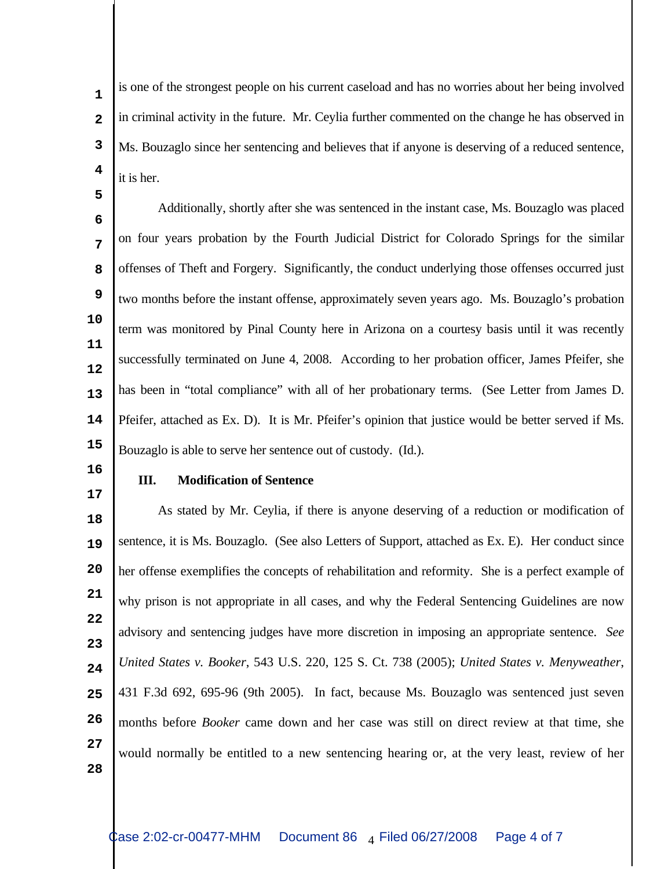is one of the strongest people on his current caseload and has no worries about her being involved in criminal activity in the future. Mr. Ceylia further commented on the change he has observed in Ms. Bouzaglo since her sentencing and believes that if anyone is deserving of a reduced sentence, it is her. **1 2 3 4**

**6 7 8 9 10 11 12 13 14 15** Additionally, shortly after she was sentenced in the instant case, Ms. Bouzaglo was placed on four years probation by the Fourth Judicial District for Colorado Springs for the similar offenses of Theft and Forgery. Significantly, the conduct underlying those offenses occurred just two months before the instant offense, approximately seven years ago. Ms. Bouzaglo's probation term was monitored by Pinal County here in Arizona on a courtesy basis until it was recently successfully terminated on June 4, 2008. According to her probation officer, James Pfeifer, she has been in "total compliance" with all of her probationary terms. (See Letter from James D. Pfeifer, attached as Ex. D). It is Mr. Pfeifer's opinion that justice would be better served if Ms. Bouzaglo is able to serve her sentence out of custody. (Id.).

**16 17**

**5**

#### **III. Modification of Sentence**

**18 19 20 21 22 23 24 25 26 27 28** As stated by Mr. Ceylia, if there is anyone deserving of a reduction or modification of sentence, it is Ms. Bouzaglo. (See also Letters of Support, attached as Ex. E). Her conduct since her offense exemplifies the concepts of rehabilitation and reformity. She is a perfect example of why prison is not appropriate in all cases, and why the Federal Sentencing Guidelines are now advisory and sentencing judges have more discretion in imposing an appropriate sentence. *See United States v. Booker*, 543 U.S. 220, 125 S. Ct. 738 (2005); *United States v. Menyweather*, 431 F.3d 692, 695-96 (9th 2005). In fact, because Ms. Bouzaglo was sentenced just seven months before *Booker* came down and her case was still on direct review at that time, she would normally be entitled to a new sentencing hearing or, at the very least, review of her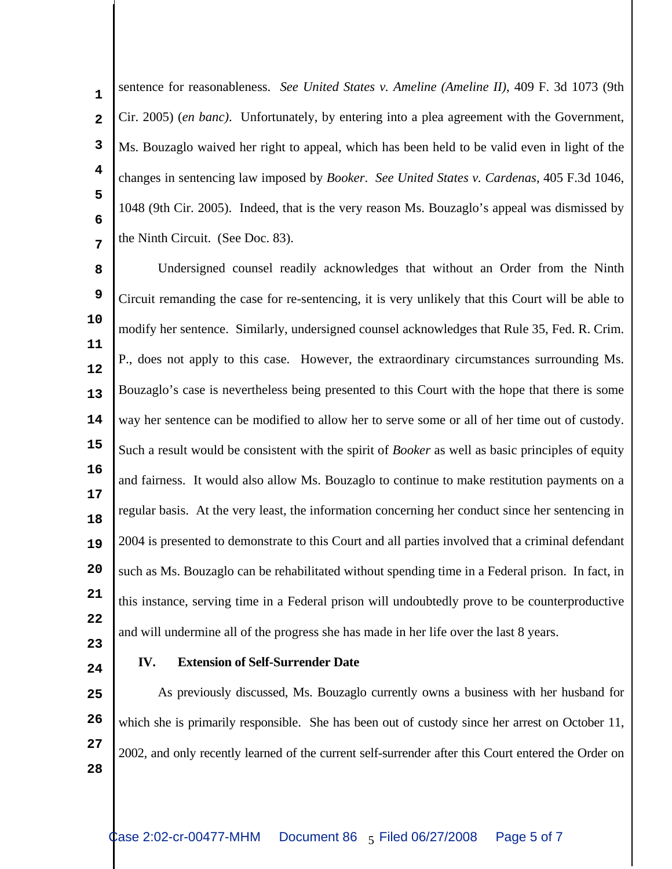sentence for reasonableness. *See United States v. Ameline (Ameline II)*, 409 F. 3d 1073 (9th Cir. 2005) (*en banc)*. Unfortunately, by entering into a plea agreement with the Government, Ms. Bouzaglo waived her right to appeal, which has been held to be valid even in light of the changes in sentencing law imposed by *Booker*. *See United States v. Cardenas*, 405 F.3d 1046, 1048 (9th Cir. 2005). Indeed, that is the very reason Ms. Bouzaglo's appeal was dismissed by the Ninth Circuit. (See Doc. 83). **1 2 3 4 5 6 7**

**8 9 10 11 12 13 14 15 16 17 18 19 20 21 22** Undersigned counsel readily acknowledges that without an Order from the Ninth Circuit remanding the case for re-sentencing, it is very unlikely that this Court will be able to modify her sentence. Similarly, undersigned counsel acknowledges that Rule 35, Fed. R. Crim. P., does not apply to this case. However, the extraordinary circumstances surrounding Ms. Bouzaglo's case is nevertheless being presented to this Court with the hope that there is some way her sentence can be modified to allow her to serve some or all of her time out of custody. Such a result would be consistent with the spirit of *Booker* as well as basic principles of equity and fairness. It would also allow Ms. Bouzaglo to continue to make restitution payments on a regular basis. At the very least, the information concerning her conduct since her sentencing in 2004 is presented to demonstrate to this Court and all parties involved that a criminal defendant such as Ms. Bouzaglo can be rehabilitated without spending time in a Federal prison. In fact, in this instance, serving time in a Federal prison will undoubtedly prove to be counterproductive and will undermine all of the progress she has made in her life over the last 8 years.

- **23**
- **24**

#### **IV. Extension of Self-Surrender Date**

**25 26 27 28** As previously discussed, Ms. Bouzaglo currently owns a business with her husband for which she is primarily responsible. She has been out of custody since her arrest on October 11, 2002, and only recently learned of the current self-surrender after this Court entered the Order on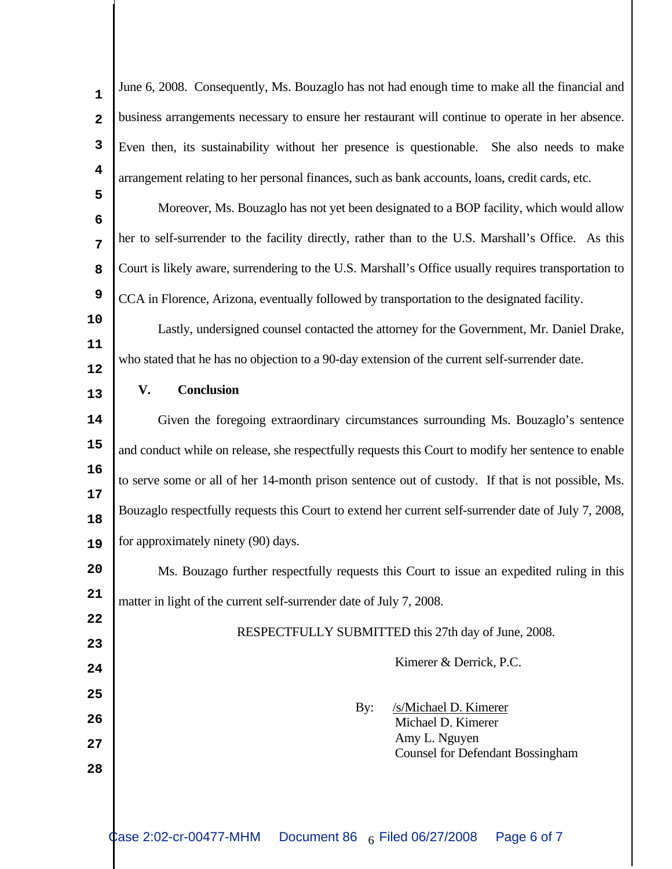| $\mathbf{1}$    | June 6, 2008. Consequently, Ms. Bouzaglo has not had enough time to make all the financial and       |
|-----------------|------------------------------------------------------------------------------------------------------|
| $\mathbf{2}$    | business arrangements necessary to ensure her restaurant will continue to operate in her absence.    |
| 3               | Even then, its sustainability without her presence is questionable. She also needs to make           |
| 4               | arrangement relating to her personal finances, such as bank accounts, loans, credit cards, etc.      |
| 5               | Moreover, Ms. Bouzaglo has not yet been designated to a BOP facility, which would allow              |
| $6\phantom{1}6$ |                                                                                                      |
| 7               | her to self-surrender to the facility directly, rather than to the U.S. Marshall's Office. As this   |
| 8               | Court is likely aware, surrendering to the U.S. Marshall's Office usually requires transportation to |
| 9               | CCA in Florence, Arizona, eventually followed by transportation to the designated facility.          |
| 10              | Lastly, undersigned counsel contacted the attorney for the Government, Mr. Daniel Drake,             |
| 11              | who stated that he has no objection to a 90-day extension of the current self-surrender date.        |
| 12              | V.<br><b>Conclusion</b>                                                                              |
| 13              |                                                                                                      |
| 14              | Given the foregoing extraordinary circumstances surrounding Ms. Bouzaglo's sentence                  |
| 15              | and conduct while on release, she respectfully requests this Court to modify her sentence to enable  |
| 16<br>17        | to serve some or all of her 14-month prison sentence out of custody. If that is not possible, Ms.    |
| 18              | Bouzaglo respectfully requests this Court to extend her current self-surrender date of July 7, 2008, |
| 19              | for approximately ninety (90) days.                                                                  |
| 20              | Ms. Bouzago further respectfully requests this Court to issue an expedited ruling in this            |
| 21              | matter in light of the current self-surrender date of July 7, 2008.                                  |
| 22              | RESPECTFULLY SUBMITTED this 27th day of June, 2008.                                                  |
| 23              |                                                                                                      |
| 24              | Kimerer & Derrick, P.C.                                                                              |
| 25              | /s/Michael D. Kimerer<br>By:                                                                         |
| 26              | Michael D. Kimerer                                                                                   |
| 27              | Amy L. Nguyen<br><b>Counsel for Defendant Bossingham</b>                                             |
| 28              |                                                                                                      |
|                 |                                                                                                      |
|                 | Case 2:02-cr-00477-MHM<br>Page 6 of 7<br>Document 86 6 Filed 06/27/2008                              |